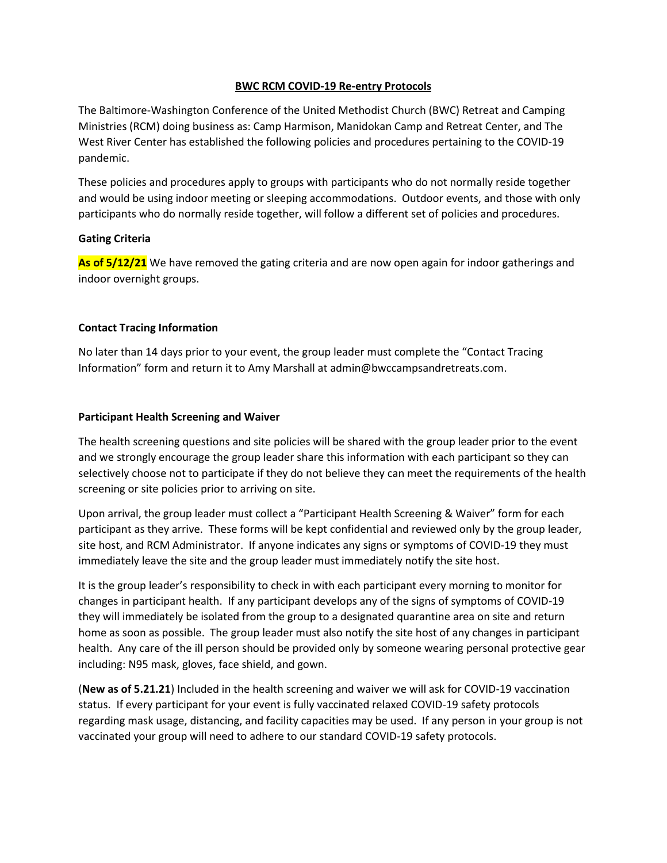### **BWC RCM COVID-19 Re-entry Protocols**

The Baltimore-Washington Conference of the United Methodist Church (BWC) Retreat and Camping Ministries (RCM) doing business as: Camp Harmison, Manidokan Camp and Retreat Center, and The West River Center has established the following policies and procedures pertaining to the COVID-19 pandemic.

These policies and procedures apply to groups with participants who do not normally reside together and would be using indoor meeting or sleeping accommodations. Outdoor events, and those with only participants who do normally reside together, will follow a different set of policies and procedures.

#### **Gating Criteria**

**As of 5/12/21** We have removed the gating criteria and are now open again for indoor gatherings and indoor overnight groups.

#### **Contact Tracing Information**

No later than 14 days prior to your event, the group leader must complete the "Contact Tracing Information" form and return it to Amy Marshall at admin@bwccampsandretreats.com.

#### **Participant Health Screening and Waiver**

The health screening questions and site policies will be shared with the group leader prior to the event and we strongly encourage the group leader share this information with each participant so they can selectively choose not to participate if they do not believe they can meet the requirements of the health screening or site policies prior to arriving on site.

Upon arrival, the group leader must collect a "Participant Health Screening & Waiver" form for each participant as they arrive. These forms will be kept confidential and reviewed only by the group leader, site host, and RCM Administrator. If anyone indicates any signs or symptoms of COVID-19 they must immediately leave the site and the group leader must immediately notify the site host.

It is the group leader's responsibility to check in with each participant every morning to monitor for changes in participant health. If any participant develops any of the signs of symptoms of COVID-19 they will immediately be isolated from the group to a designated quarantine area on site and return home as soon as possible. The group leader must also notify the site host of any changes in participant health. Any care of the ill person should be provided only by someone wearing personal protective gear including: N95 mask, gloves, face shield, and gown.

(**New as of 5.21.21**) Included in the health screening and waiver we will ask for COVID-19 vaccination status. If every participant for your event is fully vaccinated relaxed COVID-19 safety protocols regarding mask usage, distancing, and facility capacities may be used. If any person in your group is not vaccinated your group will need to adhere to our standard COVID-19 safety protocols.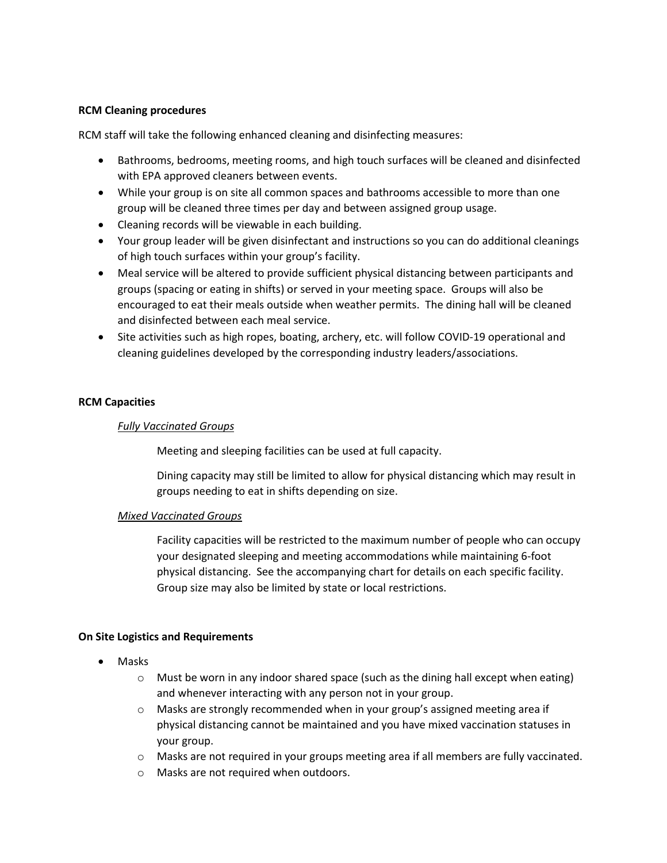## **RCM Cleaning procedures**

RCM staff will take the following enhanced cleaning and disinfecting measures:

- Bathrooms, bedrooms, meeting rooms, and high touch surfaces will be cleaned and disinfected with EPA approved cleaners between events.
- While your group is on site all common spaces and bathrooms accessible to more than one group will be cleaned three times per day and between assigned group usage.
- Cleaning records will be viewable in each building.
- Your group leader will be given disinfectant and instructions so you can do additional cleanings of high touch surfaces within your group's facility.
- Meal service will be altered to provide sufficient physical distancing between participants and groups (spacing or eating in shifts) or served in your meeting space. Groups will also be encouraged to eat their meals outside when weather permits. The dining hall will be cleaned and disinfected between each meal service.
- Site activities such as high ropes, boating, archery, etc. will follow COVID-19 operational and cleaning guidelines developed by the corresponding industry leaders/associations.

## **RCM Capacities**

### *Fully Vaccinated Groups*

Meeting and sleeping facilities can be used at full capacity.

Dining capacity may still be limited to allow for physical distancing which may result in groups needing to eat in shifts depending on size.

#### *Mixed Vaccinated Groups*

Facility capacities will be restricted to the maximum number of people who can occupy your designated sleeping and meeting accommodations while maintaining 6-foot physical distancing. See the accompanying chart for details on each specific facility. Group size may also be limited by state or local restrictions.

## **On Site Logistics and Requirements**

- Masks
	- $\circ$  Must be worn in any indoor shared space (such as the dining hall except when eating) and whenever interacting with any person not in your group.
	- $\circ$  Masks are strongly recommended when in your group's assigned meeting area if physical distancing cannot be maintained and you have mixed vaccination statuses in your group.
	- $\circ$  Masks are not required in your groups meeting area if all members are fully vaccinated.
	- o Masks are not required when outdoors.